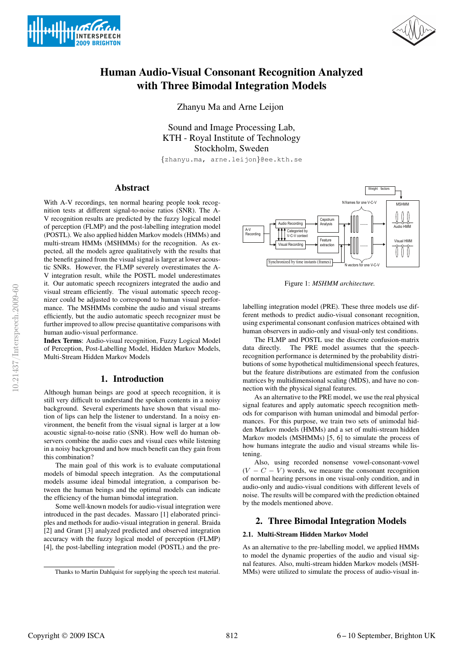



# Human Audio-Visual Consonant Recognition Analyzed with Three Bimodal Integration Models

Zhanyu Ma and Arne Leijon

Sound and Image Processing Lab, KTH - Royal Institute of Technology Stockholm, Sweden

{zhanyu.ma, arne.leijon}@ee.kth.se

## Abstract

With A-V recordings, ten normal hearing people took recognition tests at different signal-to-noise ratios (SNR). The A-V recognition results are predicted by the fuzzy logical model of perception (FLMP) and the post-labelling integration model (POSTL). We also applied hidden Markov models (HMMs) and multi-stream HMMs (MSHMMs) for the recognition. As expected, all the models agree qualitatively with the results that the benefit gained from the visual signal is larger at lower acoustic SNRs. However, the FLMP severely overestimates the A-V integration result, while the POSTL model underestimates it. Our automatic speech recognizers integrated the audio and visual stream efficiently. The visual automatic speech recognizer could be adjusted to correspond to human visual performance. The MSHMMs combine the audio and visual streams efficiently, but the audio automatic speech recognizer must be further improved to allow precise quantitative comparisons with human audio-visual performance.

Index Terms: Audio-visual recognition, Fuzzy Logical Model of Perception, Post-Labelling Model, Hidden Markov Models, Multi-Stream Hidden Markov Models

## 1. Introduction

Although human beings are good at speech recognition, it is still very difficult to understand the spoken contents in a noisy background. Several experiments have shown that visual motion of lips can help the listener to understand. In a noisy environment, the benefit from the visual signal is larger at a low acoustic signal-to-noise ratio (SNR). How well do human observers combine the audio cues and visual cues while listening in a noisy background and how much benefit can they gain from this combination?

The main goal of this work is to evaluate computational models of bimodal speech integration. As the computational models assume ideal bimodal integration, a comparison between the human beings and the optimal models can indicate the efficiency of the human bimodal integration.

Some well-known models for audio-visual integration were introduced in the past decades. Massaro [1] elaborated principles and methods for audio-visual integration in general. Braida [2] and Grant [3] analyzed predicted and observed integration accuracy with the fuzzy logical model of perception (FLMP) [4], the post-labelling integration model (POSTL) and the pre-



Figure 1: *MSHMM architecture.*

labelling integration model (PRE). These three models use different methods to predict audio-visual consonant recognition, using experimental consonant confusion matrices obtained with human observers in audio-only and visual-only test conditions.

The FLMP and POSTL use the discrete confusion-matrix data directly. The PRE model assumes that the speechrecognition performance is determined by the probability distributions of some hypothetical multidimensional speech features, but the feature distributions are estimated from the confusion matrices by multidimensional scaling (MDS), and have no connection with the physical signal features.

As an alternative to the PRE model, we use the real physical signal features and apply automatic speech recognition methods for comparison with human unimodal and bimodal performances. For this purpose, we train two sets of unimodal hidden Markov models (HMMs) and a set of multi-stream hidden Markov models (MSHMMs) [5, 6] to simulate the process of how humans integrate the audio and visual streams while listening.

Also, using recorded nonsense vowel-consonant-vowel  $(V - C - V)$  words, we measure the consonant recognition of normal hearing persons in one visual-only condition, and in audio-only and audio-visual conditions with different levels of noise. The results will be compared with the prediction obtained by the models mentioned above.

### 2. Three Bimodal Integration Models

### 2.1. Multi-Stream Hidden Markov Model

As an alternative to the pre-labelling model, we applied HMMs to model the dynamic properties of the audio and visual signal features. Also, multi-stream hidden Markov models (MSH-MMs) were utilized to simulate the process of audio-visual in-

Thanks to Martin Dahlquist for supplying the speech test material.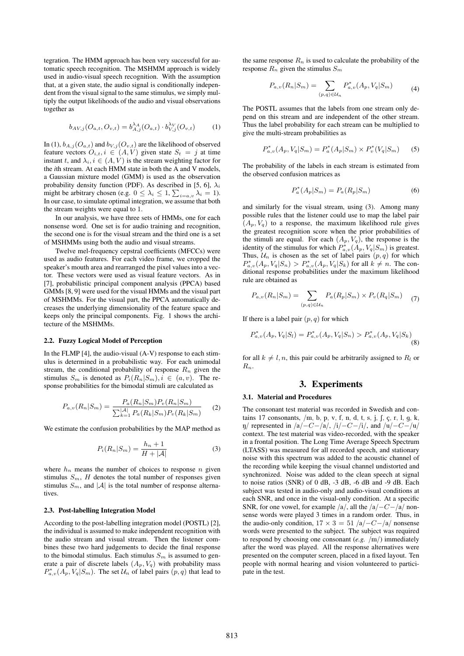tegration. The HMM approach has been very successful for automatic speech recognition. The MSHMM approach is widely used in audio-visual speech recognition. With the assumption that, at a given state, the audio signal is conditionally independent from the visual signal to the same stimulus, we simply multiply the output likelihoods of the audio and visual observations together as

$$
b_{AV,j}(O_{a,t}, O_{v,t}) = b_{A,j}^{\lambda_A}(O_{a,t}) \cdot b_{V,j}^{\lambda_V}(O_{v,t}) \tag{1}
$$

In (1),  $b_{A,j}(O_{a,t})$  and  $b_{V,j}(O_{v,t})$  are the likelihood of observed feature vectors  $O_{i,t}$ ,  $i \in (A, V)$  given state  $S_t = j$  at time instant t, and  $\lambda_i, i \in (A, V)$  is the stream weighting factor for the *i*th stream. At each HMM state in both the A and V models, a Gaussian mixture model (GMM) is used as the observation probability density function (PDF). As described in [5, 6],  $\lambda_i$ might be arbitrary chosen (e.g.  $0 \leq \lambda_i \leq 1$ ,  $\sum_{i=a,v} \lambda_i = 1$ ). In our case, to simulate optimal integration, we assume that both the stream weights were equal to 1.

In our analysis, we have three sets of HMMs, one for each nonsense word. One set is for audio training and recognition, the second one is for the visual stream and the third one is a set of MSHMMs using both the audio and visual streams.

Twelve mel-frequency cepstral coefficients (MFCCs) were used as audio features. For each video frame, we cropped the speaker's mouth area and rearranged the pixel values into a vector. These vectors were used as visual feature vectors. As in [7], probabilistic principal component analysis (PPCA) based GMMs [8, 9] were used for the visual HMMs and the visual part of MSHMMs. For the visual part, the PPCA automatically decreases the underlying dimensionality of the feature space and keeps only the principal components. Fig. 1 shows the architecture of the MSHMMs.

### 2.2. Fuzzy Logical Model of Perception

In the FLMP [4], the audio-visual (A-V) response to each stimulus is determined in a probabilistic way. For each unimodal stream, the conditional probability of response  $R_n$  given the stimulus  $S_m$  is denoted as  $P_i(R_n|S_m)$ ,  $i \in (a, v)$ . The response probabilities for the bimodal stimuli are calculated as

$$
P_{a,v}(R_n|S_m) = \frac{P_a(R_n|S_m)P_v(R_n|S_m)}{\sum_{k=1}^{|A|} P_a(R_k|S_m)P_v(R_k|S_m)}
$$
(2)

We estimate the confusion probabilities by the MAP method as

$$
P_i(R_n|S_m) = \frac{h_n + 1}{H + |\mathcal{A}|} \tag{3}
$$

where  $h_n$  means the number of choices to response n given stimulus  $S_m$ , H denotes the total number of responses given stimulus  $S_m$ , and  $|\mathcal{A}|$  is the total number of response alternatives.

### 2.3. Post-labelling Integration Model

According to the post-labelling integration model (POSTL) [2], the individual is assumed to make independent recognition with the audio stream and visual stream. Then the listener combines these two hard judgements to decide the final response to the bimodal stimulus. Each stimulus  $S_m$  is assumed to generate a pair of discrete labels  $(A_p, V_q)$  with probability mass  $P^*_{a,v}(A_p, V_q | S_m)$ . The set  $\mathcal{U}_n$  of label pairs  $(p, q)$  that lead to

the same response  $R_n$  is used to calculate the probability of the response  $R_n$  given the stimulus  $S_m$ 

$$
P_{a,v}(R_n|S_m) = \sum_{(p,q)\in\mathcal{U}_n} P_{a,v}^*(A_p, V_q|S_m)
$$
 (4)

The POSTL assumes that the labels from one stream only depend on this stream and are independent of the other stream. Thus the label probability for each stream can be multiplied to give the multi-stream probabilities as

$$
P_{a,v}^*(A_p, V_q|S_m) = P_a^*(A_p|S_m) \times P_v^*(V_q|S_m)
$$
 (5)

The probability of the labels in each stream is estimated from the observed confusion matrices as

$$
P_a^*(A_p|S_m) = P_a(R_p|S_m)
$$
 (6)

and similarly for the visual stream, using (3). Among many possible rules that the listener could use to map the label pair  $(A_p, V_q)$  to a response, the maximum likelihood rule gives the greatest recognition score when the prior probabilities of the stimuli are equal. For each  $(A_p, V_q)$ , the response is the identity of the stimulus for which  $P^*_{a,v}(A_p, V_q|S_m)$  is greatest. Thus,  $\mathcal{U}_n$  is chosen as the set of label pairs  $(p, q)$  for which  $P_{a,v}^*(A_p, V_q|S_n) > P_{a,v}^*(A_p, V_q|S_k)$  for all  $k \neq n$ . The conditional response probabilities under the maximum likelihood rule are obtained as

$$
P_{a,v}(R_n|S_m) = \sum_{(p,q)\in\mathcal{U}_n} P_a(R_p|S_m) \times P_v(R_q|S_m) \tag{7}
$$

If there is a label pair  $(p, q)$  for which

$$
P_{a,v}^*(A_p, V_q|S_l) = P_{a,v}^*(A_p, V_q|S_n) > P_{a,v}^*(A_p, V_q|S_k) \tag{8}
$$

for all  $k \neq l, n$ , this pair could be arbitrarily assigned to  $R_l$  or  $R_n$ .

# 3. Experiments

# 3.1. Material and Procedures

The consonant test material was recorded in Swedish and contains 17 consonants,  $/m$ , b, p, v, f, n, d, t, s, j,  $\int$ , c, r, l, g, k,  $\eta$ / represented in /a/−C−/a/, /i/−C−/i/, and /u/−C−/u/ context. The test material was video-recorded, with the speaker in a frontal position. The Long Time Average Speech Spectrum (LTASS) was measured for all recorded speech, and stationary noise with this spectrum was added to the acoustic channel of the recording while keeping the visual channel undistorted and synchronized. Noise was added to the clean speech at signal to noise ratios (SNR) of 0 dB, -3 dB, -6 dB and -9 dB. Each subject was tested in audio-only and audio-visual conditions at each SNR, and once in the visual-only condition. At a specific SNR, for one vowel, for example  $/a/$ , all the  $/a/–C−/a/$  nonsense words were played 3 times in a random order. Thus, in the audio-only condition,  $17 \times 3 = 51/a/-C-/a/$  nonsense words were presented to the subject. The subject was required to respond by choosing one consonant (*e.g.* /m/) immediately after the word was played. All the response alternatives were presented on the computer screen, placed in a fixed layout. Ten people with normal hearing and vision volunteered to participate in the test.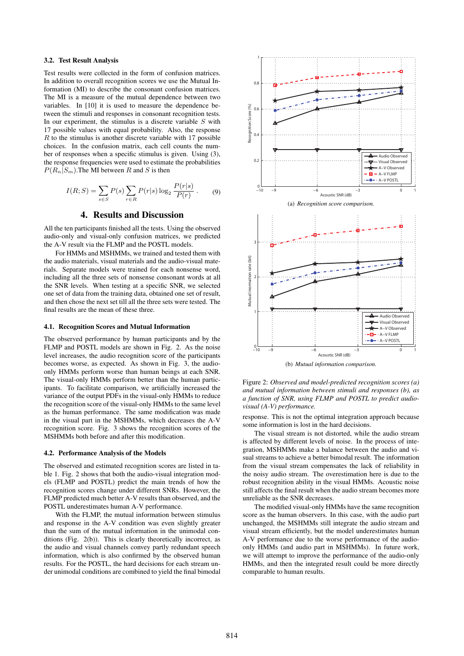### 3.2. Test Result Analysis

Test results were collected in the form of confusion matrices. In addition to overall recognition scores we use the Mutual Information (MI) to describe the consonant confusion matrices. The MI is a measure of the mutual dependence between two variables. In [10] it is used to measure the dependence between the stimuli and responses in consonant recognition tests. In our experiment, the stimulus is a discrete variable  $S$  with 17 possible values with equal probability. Also, the response  $R$  to the stimulus is another discrete variable with 17 possible choices. In the confusion matrix, each cell counts the number of responses when a specific stimulus is given. Using (3), the response frequencies were used to estimate the probabilities  $P(R_n|S_m)$ . The MI between R and S is then

$$
I(R;S) = \sum_{s \in S} P(s) \sum_{r \in R} P(r|s) \log_2 \frac{P(r|s)}{P(r)}.
$$
 (9)

## 4. Results and Discussion

All the ten participants finished all the tests. Using the observed audio-only and visual-only confusion matrices, we predicted the A-V result via the FLMP and the POSTL models.

For HMMs and MSHMMs, we trained and tested them with the audio materials, visual materials and the audio-visual materials. Separate models were trained for each nonsense word, including all the three sets of nonsense consonant words at all the SNR levels. When testing at a specific SNR, we selected one set of data from the training data, obtained one set of result, and then chose the next set till all the three sets were tested. The final results are the mean of these three.

#### 4.1. Recognition Scores and Mutual Information

The observed performance by human participants and by the FLMP and POSTL models are shown in Fig. 2. As the noise level increases, the audio recognition score of the participants becomes worse, as expected. As shown in Fig. 3, the audioonly HMMs perform worse than human beings at each SNR. The visual-only HMMs perform better than the human participants. To facilitate comparison, we artificially increased the variance of the output PDFs in the visual-only HMMs to reduce the recognition score of the visual-only HMMs to the same level as the human performance. The same modification was made in the visual part in the MSHMMs, which decreases the A-V recognition score. Fig. 3 shows the recognition scores of the MSHMMs both before and after this modification.

#### 4.2. Performance Analysis of the Models

The observed and estimated recognition scores are listed in table 1. Fig. 2 shows that both the audio-visual integration models (FLMP and POSTL) predict the main trends of how the recognition scores change under different SNRs. However, the FLMP predicted much better A-V results than observed, and the POSTL underestimates human A-V performance.

With the FLMP, the mutual information between stimulus and response in the A-V condition was even slightly greater than the sum of the mutual information in the unimodal conditions (Fig. 2(b)). This is clearly theoretically incorrect, as the audio and visual channels convey partly redundant speech information, which is also confirmed by the observed human results. For the POSTL, the hard decisions for each stream under unimodal conditions are combined to yield the final bimodal



Figure 2: *Observed and model-predicted recognition scores (a) and mutual information between stimuli and responses (b), as a function of SNR, using FLMP and POSTL to predict audiovisual (A-V) performance.*

response. This is not the optimal integration approach because some information is lost in the hard decisions.

The visual stream is not distorted, while the audio stream is affected by different levels of noise. In the process of integration, MSHMMs make a balance between the audio and visual streams to achieve a better bimodal result. The information from the visual stream compensates the lack of reliability in the noisy audio stream. The overestimation here is due to the robust recognition ability in the visual HMMs. Acoustic noise still affects the final result when the audio stream becomes more unreliable as the SNR decreases.

The modified visual-only HMMs have the same recognition score as the human observers. In this case, with the audio part unchanged, the MSHMMs still integrate the audio stream and visual stream efficiently, but the model underestimates human A-V performance due to the worse performance of the audioonly HMMs (and audio part in MSHMMs). In future work, we will attempt to improve the performance of the audio-only HMMs, and then the integrated result could be more directly comparable to human results.